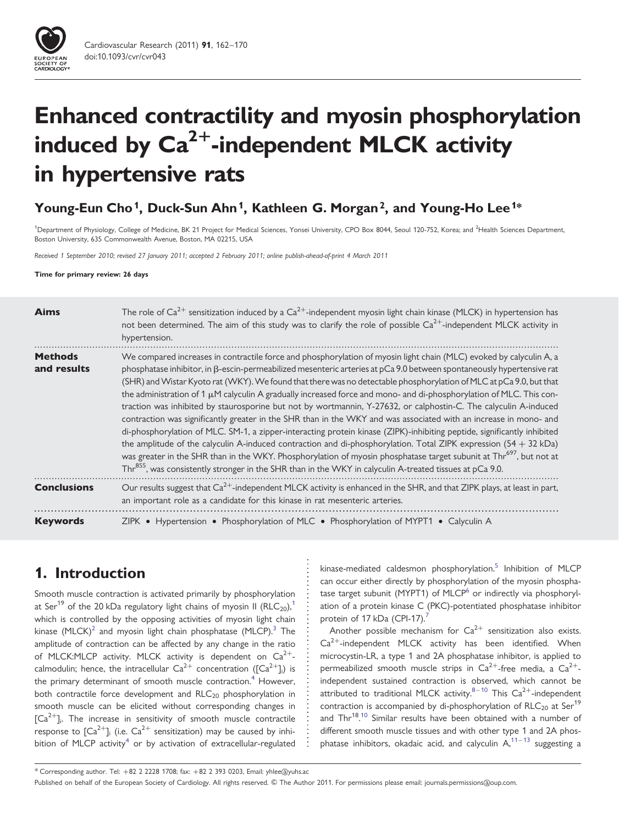

# Enhanced contractility and myosin phosphorylation induced by  $Ca^{2+}$ -independent MLCK activity in hypertensive rats

# Young-Eun Cho<sup>1</sup>, Duck-Sun Ahn<sup>1</sup>, Kathleen G. Morgan<sup>2</sup>, and Young-Ho Lee<sup>1\*</sup>

<sup>1</sup>Department of Physiology, College of Medicine, BK 21 Project for Medical Sciences, Yonsei University, CPO Box 8044, Seoul 120-752, Korea; and <sup>2</sup>Health Sciences Department. Boston University, 635 Commonwealth Avenue, Boston, MA 02215, USA

Received 1 September 2010; revised 27 January 2011; accepted 2 February 2011; online publish-ahead-of-print 4 March 2011

Time for primary review: 26 days

| <b>Aims</b>                   | The role of $Ca^{2+}$ sensitization induced by a $Ca^{2+}$ -independent myosin light chain kinase (MLCK) in hypertension has<br>not been determined. The aim of this study was to clarify the role of possible $Ca^{2+}$ -independent MLCK activity in<br>hypertension.                                                                                                                                                                                                                                                                                                                                                                                                                                                                                                                                                                                                                                                                                                                                                                                                                                                                                                                                                                                             |
|-------------------------------|---------------------------------------------------------------------------------------------------------------------------------------------------------------------------------------------------------------------------------------------------------------------------------------------------------------------------------------------------------------------------------------------------------------------------------------------------------------------------------------------------------------------------------------------------------------------------------------------------------------------------------------------------------------------------------------------------------------------------------------------------------------------------------------------------------------------------------------------------------------------------------------------------------------------------------------------------------------------------------------------------------------------------------------------------------------------------------------------------------------------------------------------------------------------------------------------------------------------------------------------------------------------|
| <b>Methods</b><br>and results | We compared increases in contractile force and phosphorylation of myosin light chain (MLC) evoked by calyculin A, a<br>phosphatase inhibitor, in $\beta$ -escin-permeabilized mesenteric arteries at pCa 9.0 between spontaneously hypertensive rat<br>(SHR) and Wistar Kyoto rat (WKY). We found that there was no detectable phosphorylation of MLC at pCa 9.0, but that<br>the administration of 1 $\mu$ M calyculin A gradually increased force and mono- and di-phosphorylation of MLC. This con-<br>traction was inhibited by staurosporine but not by wortmannin, Y-27632, or calphostin-C. The calyculin A-induced<br>contraction was significantly greater in the SHR than in the WKY and was associated with an increase in mono- and<br>di-phosphorylation of MLC. SM-1, a zipper-interacting protein kinase (ZIPK)-inhibiting peptide, significantly inhibited<br>the amplitude of the calyculin A-induced contraction and di-phosphorylation. Total ZIPK expression $(54 + 32 \text{ kDa})$<br>was greater in the SHR than in the WKY. Phosphorylation of myosin phosphatase target subunit at Thr <sup>697</sup> , but not at<br>Thr <sup>855</sup> , was consistently stronger in the SHR than in the WKY in calyculin A-treated tissues at pCa 9.0. |
| <b>Conclusions</b>            | Our results suggest that Ca <sup>2+</sup> -independent MLCK activity is enhanced in the SHR, and that ZIPK plays, at least in part,<br>an important role as a candidate for this kinase in rat mesenteric arteries.                                                                                                                                                                                                                                                                                                                                                                                                                                                                                                                                                                                                                                                                                                                                                                                                                                                                                                                                                                                                                                                 |
| <b>Keywords</b>               | ZIPK • Hypertension • Phosphorylation of MLC • Phosphorylation of MYPT1 • Calyculin A                                                                                                                                                                                                                                                                                                                                                                                                                                                                                                                                                                                                                                                                                                                                                                                                                                                                                                                                                                                                                                                                                                                                                                               |

# 1. Introduction

Smooth muscle contraction is activated primarily by phosphorylation at Ser<sup>[1](#page-7-0)9</sup> of the 20 kDa regulatory light chains of myosin II (RLC<sub>20</sub>),<sup>1</sup> which is controlled by the opposing activities of myosin light chain kinase  $(MLCK)^2$  and myosin light chain phosphatase  $(MLCP).$ <sup>[3](#page-7-0)</sup> The amplitude of contraction can be affected by any change in the ratio of MLCK:MLCP activity. MLCK activity is dependent on  $Ca^{2+}$ calmodulin; hence, the intracellular  $\text{Ca}^{2+}$  concentration  $([{\text{Ca}^{2+}}]_i)$  is the primary determinant of smooth muscle contraction.<sup>[4](#page-7-0)</sup> However, both contractile force development and RLC<sub>20</sub> phosphorylation in smooth muscle can be elicited without corresponding changes in  $[Ca<sup>2+</sup>]$ . The increase in sensitivity of smooth muscle contractile response to  $[Ca^{2+}]$ <sub>i</sub> (i.e.  $Ca^{2+}$  sensitization) may be caused by inhi-bition of MLCP activity<sup>[4](#page-7-0)</sup> or by activation of extracellular-regulated kinase-mediated caldesmon phosphorylation.<sup>[5](#page-7-0)</sup> Inhibition of MLCP can occur either directly by phosphorylation of the myosin phosphatase target subunit (MYPT1) of MLCP $<sup>6</sup>$  or indirectly via phosphoryl-</sup> ation of a protein kinase C (PKC)-potentiated phosphatase inhibitor protein of 1[7](#page-7-0) kDa (CPI-17).<sup>7</sup>

Another possible mechanism for  $Ca^{2+}$  sensitization also exists.  $Ca<sup>2+</sup>$ -independent MLCK activity has been identified. When microcystin-LR, a type 1 and 2A phosphatase inhibitor, is applied to permeabilized smooth muscle strips in  $Ca^{2+}$ -free media, a  $Ca^{2+}$ independent sustained contraction is observed, which cannot be attributed to traditional MLCK activity. $8-10$  $8-10$  This Ca<sup>2+</sup>-independent contraction is accompanied by di-phosphorylation of  $RLC_{20}$  at Ser<sup>19</sup> and Thr<sup>18</sup>.<sup>[10](#page-7-0)</sup> Similar results have been obtained with a number of different smooth muscle tissues and with other type 1 and 2A phosphatase inhibitors, okadaic acid, and calyculin  $A$ ,  $11 - 13$  $11 - 13$  $11 - 13$  suggesting a

<sup>\*</sup> Corresponding author. Tel: +82 2 2228 1708; fax: +82 2 393 0203, Email: yhlee@yuhs.ac

Published on behalf of the European Society of Cardiology. All rights reserved. © The Author 2011. For permissions please email: journals.permissions@oup.com.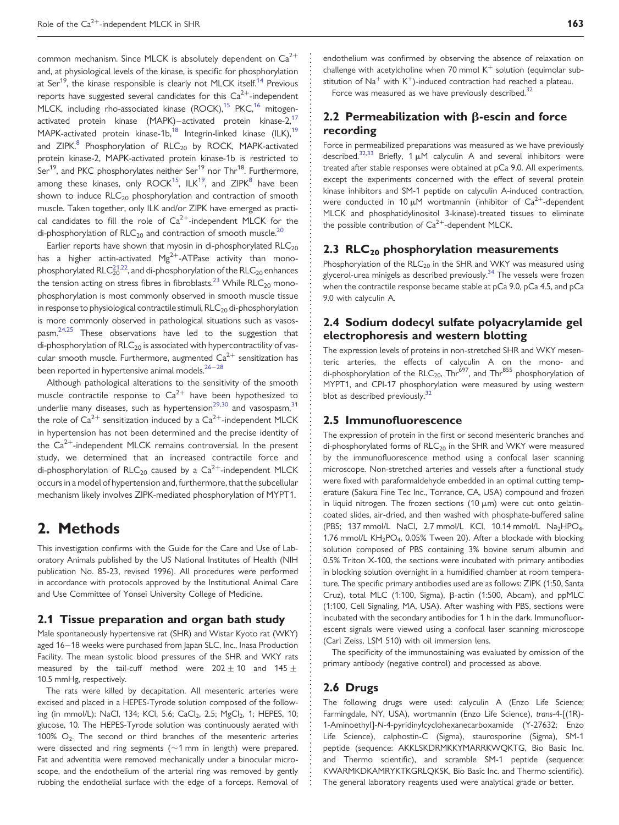common mechanism. Since MLCK is absolutely dependent on  $Ca^{2+}$ and, at physiological levels of the kinase, is specific for phosphorylation at Ser<sup>19</sup>, the kinase responsible is clearly not MLCK itself.<sup>[14](#page-7-0)</sup> Previous reports have suggested several candidates for this  $Ca^{2+}$ -independent MLCK, including rho-associated kinase (ROCK),<sup>[15](#page-7-0)</sup> PKC,<sup>16</sup> mitogenactivated protein kinase (MAPK)–activated protein kinase-2,<sup>17</sup> MAPK-activated protein kinase-1b,<sup>18</sup> Integrin-linked kinase (ILK),<sup>19</sup> and  $ZIPK$ <sup>8</sup> Phosphorylation of  $RLC_{20}$  by ROCK, MAPK-activated protein kinase-2, MAPK-activated protein kinase-1b is restricted to Ser<sup>19</sup>, and PKC phosphorylates neither Ser<sup>19</sup> nor Thr<sup>18</sup>. Furthermore, among these kinases, only  $ROCK^{15}$ ,  $ILK^{19}$ , and  $ZIPK^8$  $ZIPK^8$  have been shown to induce  $RLC<sub>20</sub>$  phosphorylation and contraction of smooth muscle. Taken together, only ILK and/or ZIPK have emerged as practical candidates to fill the role of  $Ca^{2+}$ -independent MLCK for the di-phosphorylation of  $RLC_{20}$  and contraction of smooth muscle.<sup>20</sup>

Earlier reports have shown that myosin in di-phosphorylated  $RLC<sub>20</sub>$ has a higher actin-activated  $Mg^{2+}$ -ATPase activity than monophosphorylated  $\mathsf{RLC}_{20}^{21,22}$ , and di-phosphorylation of the  $\mathsf{RLC}_{20}$  enhances the tension acting on stress fibres in fibroblasts.<sup>[23](#page-7-0)</sup> While RLC<sub>20</sub> monophosphorylation is most commonly observed in smooth muscle tissue in response to physiological contractile stimuli,  $RLC_{20}$  di-phosphorylation is more commonly observed in pathological situations such as vasospasm.<sup>24,25</sup> These observations have led to the suggestion that di-phosphorylation of  $RLC_{20}$  is associated with hypercontractility of vascular smooth muscle. Furthermore, augmented  $Ca^{2+}$  sensitization has been reported in hypertensive animal models. $26-28$  $26-28$  $26-28$ 

Although pathological alterations to the sensitivity of the smooth muscle contractile response to  $Ca^{2+}$  have been hypothesized to underlie many diseases, such as hypertension<sup>[29,30](#page-8-0)</sup> and vasospasm,  $31$ the role of  $Ca^{2+}$  sensitization induced by a  $Ca^{2+}$ -independent MLCK in hypertension has not been determined and the precise identity of the  $Ca^{2+}$ -independent MLCK remains controversial. In the present study, we determined that an increased contractile force and di-phosphorylation of  $RLC_{20}$  caused by a  $Ca^{2+}$ -independent MLCK occurs in a model of hypertension and, furthermore, that the subcellular mechanism likely involves ZIPK-mediated phosphorylation of MYPT1.

# 2. Methods

This investigation confirms with the Guide for the Care and Use of Laboratory Animals published by the US National Institutes of Health (NIH publication No. 85-23, revised 1996). All procedures were performed in accordance with protocols approved by the Institutional Animal Care and Use Committee of Yonsei University College of Medicine.

#### 2.1 Tissue preparation and organ bath study

Male spontaneously hypertensive rat (SHR) and Wistar Kyoto rat (WKY) aged 16-18 weeks were purchased from Japan SLC, Inc., Inasa Production Facility. The mean systolic blood pressures of the SHR and WKY rats measured by the tail-cuff method were  $202 \pm 10$  and  $145 \pm$ 10.5 mmHg, respectively.

The rats were killed by decapitation. All mesenteric arteries were excised and placed in a HEPES-Tyrode solution composed of the following (in mmol/L): NaCl, 134; KCl, 5.6; CaCl<sub>2</sub>, 2.5; MgCl<sub>2</sub>, 1; HEPES, 10; glucose, 10. The HEPES-Tyrode solution was continuously aerated with 100%  $O<sub>2</sub>$ . The second or third branches of the mesenteric arteries were dissected and ring segments ( $\sim$ 1 mm in length) were prepared. Fat and adventitia were removed mechanically under a binocular microscope, and the endothelium of the arterial ring was removed by gently rubbing the endothelial surface with the edge of a forceps. Removal of endothelium was confirmed by observing the absence of relaxation on challenge with acetylcholine when 70 mmol  $K^+$  solution (equimolar substitution of  $Na<sup>+</sup>$  with  $K<sup>+</sup>$ -induced contraction had reached a plateau.

Force was measured as we have previously described.<sup>[32](#page-8-0)</sup>

## 2.2 Permeabilization with  $\beta$ -escin and force recording

Force in permeabilized preparations was measured as we have previously described.<sup>[32,33](#page-8-0)</sup> Briefly, 1  $\mu$ M calyculin A and several inhibitors were treated after stable responses were obtained at pCa 9.0. All experiments, except the experiments concerned with the effect of several protein kinase inhibitors and SM-1 peptide on calyculin A-induced contraction, were conducted in 10  $\mu$ M wortmannin (inhibitor of Ca<sup>2+</sup>-dependent MLCK and phosphatidylinositol 3-kinase)-treated tissues to eliminate the possible contribution of  $Ca^{2+}$ -dependent MLCK.

### 2.3  $RLC<sub>20</sub>$  phosphorylation measurements

Phosphorylation of the  $RLC_{20}$  in the SHR and WKY was measured using glycerol-urea minigels as described previously. $34$  The vessels were frozen when the contractile response became stable at pCa 9.0, pCa 4.5, and pCa 9.0 with calyculin A.

## 2.4 Sodium dodecyl sulfate polyacrylamide gel electrophoresis and western blotting

The expression levels of proteins in non-stretched SHR and WKY mesenteric arteries, the effects of calyculin A on the mono- and di-phosphorylation of the  $RLC_{20}$ , Thr<sup>697</sup>, and Thr<sup>855</sup> phosphorylation of MYPT1, and CPI-17 phosphorylation were measured by using western blot as described previously.<sup>32</sup>

### 2.5 Immunofluorescence

The expression of protein in the first or second mesenteric branches and di-phosphorylated forms of  $RLC_{20}$  in the SHR and WKY were measured by the immunofluorescence method using a confocal laser scanning microscope. Non-stretched arteries and vessels after a functional study were fixed with paraformaldehyde embedded in an optimal cutting temperature (Sakura Fine Tec Inc., Torrance, CA, USA) compound and frozen in liquid nitrogen. The frozen sections  $(10 \mu m)$  were cut onto gelatincoated slides, air-dried, and then washed with phosphate-buffered saline (PBS; 137 mmol/L NaCl, 2.7 mmol/L KCl, 10.14 mmol/L Na<sub>2</sub>HPO<sub>4</sub>, 1.76 mmol/L KH<sub>2</sub>PO<sub>4</sub>, 0.05% Tween 20). After a blockade with blocking solution composed of PBS containing 3% bovine serum albumin and 0.5% Triton X-100, the sections were incubated with primary antibodies in blocking solution overnight in a humidified chamber at room temperature. The specific primary antibodies used are as follows: ZIPK (1:50, Santa Cruz), total MLC (1:100, Sigma), b-actin (1:500, Abcam), and ppMLC (1:100, Cell Signaling, MA, USA). After washing with PBS, sections were incubated with the secondary antibodies for 1 h in the dark. Immunofluorescent signals were viewed using a confocal laser scanning microscope (Carl Zeiss, LSM 510) with oil immersion lens.

The specificity of the immunostaining was evaluated by omission of the primary antibody (negative control) and processed as above.

### 2.6 Drugs

The following drugs were used: calyculin A (Enzo Life Science; Farmingdale, NY, USA), wortmannin (Enzo Life Science), trans-4-[(1R)- 1-Aminoethyl]-N-4-pyridinylcyclohexanecarboxamide (Y-27632; Enzo Life Science), calphostin-C (Sigma), staurosporine (Sigma), SM-1 peptide (sequence: AKKLSKDRMKKYMARRKWQKTG, Bio Basic Inc. and Thermo scientific), and scramble SM-1 peptide (sequence: KWARMKDKAMRYKTKGRLQKSK, Bio Basic Inc. and Thermo scientific). The general laboratory reagents used were analytical grade or better.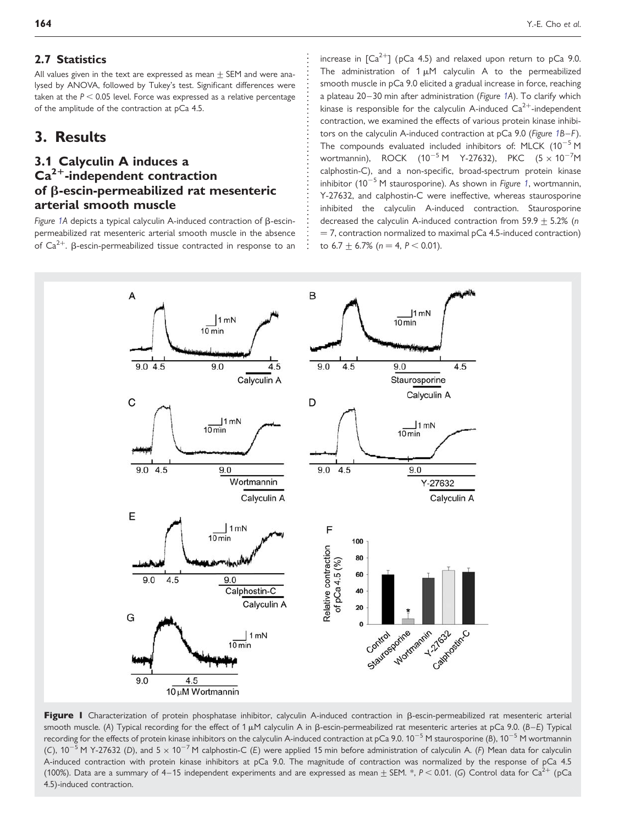## 2.7 Statistics

All values given in the text are expressed as mean  $+$  SEM and were analysed by ANOVA, followed by Tukey's test. Significant differences were taken at the  $P < 0.05$  level. Force was expressed as a relative percentage of the amplitude of the contraction at pCa 4.5.

## 3. Results

## 3.1 Calyculin A induces a  $Ca<sup>2+</sup>$ -independent contraction of b-escin-permeabilized rat mesenteric arterial smooth muscle

Figure 1A depicts a typical calyculin A-induced contraction of  $\beta$ -escinpermeabilized rat mesenteric arterial smooth muscle in the absence of  $Ca^{2+}$ . B-escin-permeabilized tissue contracted in response to an increase in  $\lceil Ca^{2+} \rceil$  (pCa 4.5) and relaxed upon return to pCa 9.0. The administration of  $1 \mu$ M calyculin A to the permeabilized smooth muscle in pCa 9.0 elicited a gradual increase in force, reaching a plateau 20–30 min after administration (Figure 1A). To clarify which kinase is responsible for the calyculin A-induced  $Ca^{2+}$ -independent contraction, we examined the effects of various protein kinase inhibitors on the calyculin A-induced contraction at pCa 9.0 (Figure 1B–F). The compounds evaluated included inhibitors of: MLCK  $(10^{-5}$  M wortmannin), ROCK (10<sup>-5</sup> M Y-27632), PKC (5  $\times$  10<sup>-7</sup>M calphostin-C), and a non-specific, broad-spectrum protein kinase inhibitor  $(10^{-5}$  M staurosporine). As shown in Figure 1, wortmannin, Y-27632, and calphostin-C were ineffective, whereas staurosporine inhibited the calyculin A-induced contraction. Staurosporine decreased the calyculin A-induced contraction from  $59.9 + 5.2\%$  (n  $=$  7, contraction normalized to maximal pCa 4.5-induced contraction) to  $6.7 \pm 6.7\%$  ( $n = 4$ ,  $P < 0.01$ ).



Figure I Characterization of protein phosphatase inhibitor, calyculin A-induced contraction in  $\beta$ -escin-permeabilized rat mesenteric arterial smooth muscle. (A) Typical recording for the effect of 1  $\mu$ M calyculin A in  $\beta$ -escin-permeabilized rat mesenteric arteries at pCa 9.0. (B–E) Typical recording for the effects of protein kinase inhibitors on the calyculin A-induced contraction at pCa 9.0.  $10^{-5}$  M staurosporine (B),  $10^{-5}$  M wortmannin (C),  $10^{-5}$  M Y-27632 (D), and  $5 \times 10^{-7}$  M calphostin-C (E) were applied 15 min before administration of calyculin A. (F) Mean data for calyculin A-induced contraction with protein kinase inhibitors at pCa 9.0. The magnitude of contraction was normalized by the response of pCa 4.5 (100%). Data are a summary of 4–15 independent experiments and are expressed as mean  $\pm$  SEM. \*, P < 0.01. (G) Control data for Ca<sup>2+</sup> (pCa 4.5)-induced contraction.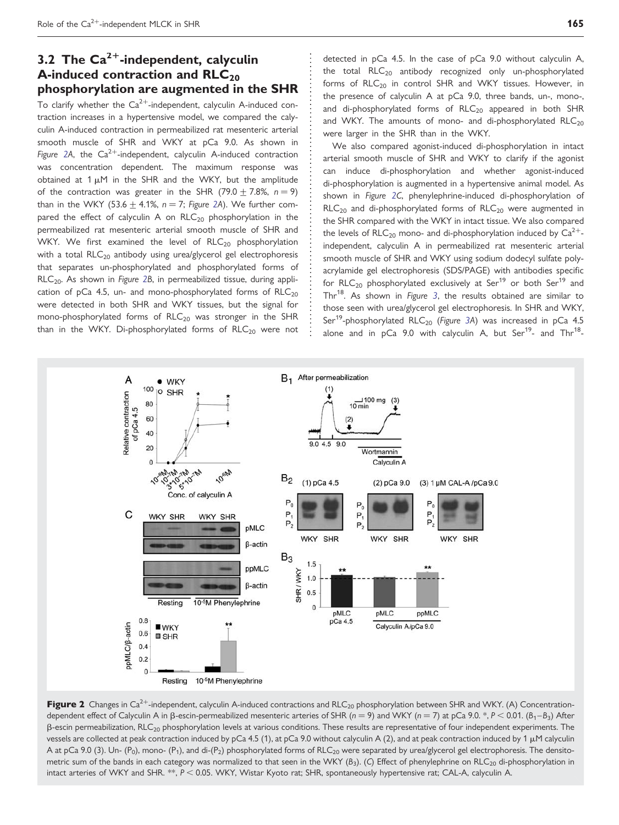# <span id="page-3-0"></span>3.2 The  $Ca^{2+}$ -independent, calyculin A-induced contraction and  $RLC_{20}$ phosphorylation are augmented in the SHR

To clarify whether the  $Ca^{2+}$ -independent, calyculin A-induced contraction increases in a hypertensive model, we compared the calyculin A-induced contraction in permeabilized rat mesenteric arterial smooth muscle of SHR and WKY at pCa 9.0. As shown in Figure 2A, the  $Ca^{2+}$ -independent, calyculin A-induced contraction was concentration dependent. The maximum response was obtained at  $1 \mu$ M in the SHR and the WKY, but the amplitude of the contraction was greater in the SHR (79.0  $\pm$  7.8%, n = 9) than in the WKY (53.6  $\pm$  4.1%, n = 7; Figure 2A). We further compared the effect of calyculin A on  $RLC_{20}$  phosphorylation in the permeabilized rat mesenteric arterial smooth muscle of SHR and WKY. We first examined the level of  $RLC_{20}$  phosphorylation with a total  $RLC_{20}$  antibody using urea/glycerol gel electrophoresis that separates un-phosphorylated and phosphorylated forms of RLC<sub>20</sub>. As shown in Figure 2B, in permeabilized tissue, during application of pCa 4.5, un- and mono-phosphorylated forms of  $RLC_{20}$ were detected in both SHR and WKY tissues, but the signal for mono-phosphorylated forms of  $RLC_{20}$  was stronger in the SHR than in the WKY. Di-phosphorylated forms of  $RLC_{20}$  were not detected in pCa 4.5. In the case of pCa 9.0 without calyculin A, the total  $RLC_{20}$  antibody recognized only un-phosphorylated forms of  $RLC<sub>20</sub>$  in control SHR and WKY tissues. However, in the presence of calyculin A at pCa 9.0, three bands, un-, mono-, and di-phosphorylated forms of  $RLC_{20}$  appeared in both SHR and WKY. The amounts of mono- and di-phosphorylated  $RLC<sub>20</sub>$ were larger in the SHR than in the WKY.

We also compared agonist-induced di-phosphorylation in intact arterial smooth muscle of SHR and WKY to clarify if the agonist can induce di-phosphorylation and whether agonist-induced di-phosphorylation is augmented in a hypertensive animal model. As shown in Figure 2C, phenylephrine-induced di-phosphorylation of  $RLC<sub>20</sub>$  and di-phosphorylated forms of  $RLC<sub>20</sub>$  were augmented in the SHR compared with the WKY in intact tissue. We also compared the levels of RLC<sub>20</sub> mono- and di-phosphorylation induced by  $Ca^{2+}$ independent, calyculin A in permeabilized rat mesenteric arterial smooth muscle of SHR and WKY using sodium dodecyl sulfate polyacrylamide gel electrophoresis (SDS/PAGE) with antibodies specific for  $RLC_{20}$  phosphorylated exclusively at Ser<sup>19</sup> or both Ser<sup>19</sup> and Thr $^{18}$ . As shown in Figure [3](#page-4-0), the results obtained are similar to those seen with urea/glycerol gel electrophoresis. In SHR and WKY, Ser<sup>19</sup>-phosphorylated RLC<sub>20</sub> (Figure [3](#page-4-0)A) was increased in pCa 4.5 alone and in  $pCa$  9.0 with calyculin A, but Ser<sup>19</sup>- and Thr<sup>18</sup>-



Figure 2 Changes in  $Ca^{2+}$ -independent, calyculin A-induced contractions and RLC<sub>20</sub> phosphorylation between SHR and WKY. (A) Concentrationdependent effect of Calyculin A in  $\beta$ -escin-permeabilized mesenteric arteries of SHR (n = 9) and WKY (n = 7) at pCa 9.0. \*, P < 0.01. (B<sub>1</sub>-B<sub>3</sub>) After  $\beta$ -escin permeabilization, RLC<sub>20</sub> phosphorylation levels at various conditions. These results are representative of four independent experiments. The vessels are collected at peak contraction induced by pCa 4.5 (1), at pCa 9.0 without calyculin A (2), and at peak contraction induced by 1  $\mu$ M calyculin A at pCa 9.0 (3). Un- (P<sub>0</sub>), mono- (P<sub>1</sub>), and di-(P<sub>2</sub>) phosphorylated forms of RLC<sub>20</sub> were separated by urea/glycerol gel electrophoresis. The densitometric sum of the bands in each category was normalized to that seen in the WKY ( $B_3$ ). (C) Effect of phenylephrine on RLC<sub>20</sub> di-phosphorylation in intact arteries of WKY and SHR. \*\*, P < 0.05. WKY, Wistar Kyoto rat; SHR, spontaneously hypertensive rat; CAL-A, calyculin A.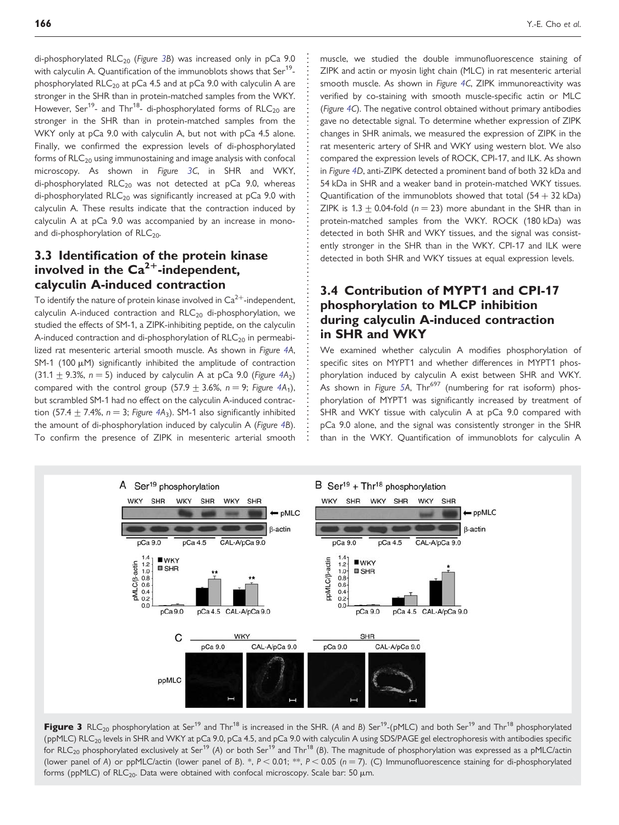<span id="page-4-0"></span>di-phosphorylated  $RLC_{20}$  (Figure 3B) was increased only in pCa 9.0 with calyculin A. Quantification of the immunoblots shows that Ser<sup>19</sup>phosphorylated  $RLC_{20}$  at pCa 4.5 and at pCa 9.0 with calyculin A are stronger in the SHR than in protein-matched samples from the WKY. However, Ser<sup>19</sup>- and Thr<sup>18</sup>- di-phosphorylated forms of RLC<sub>20</sub> are stronger in the SHR than in protein-matched samples from the WKY only at pCa 9.0 with calyculin A, but not with pCa 4.5 alone. Finally, we confirmed the expression levels of di-phosphorylated forms of  $RLC<sub>20</sub>$  using immunostaining and image analysis with confocal microscopy. As shown in Figure 3C, in SHR and WKY, di-phosphorylated  $RLC_{20}$  was not detected at pCa 9.0, whereas di-phosphorylated RLC<sub>20</sub> was significantly increased at  $pCa$  9.0 with calyculin A. These results indicate that the contraction induced by calyculin A at pCa 9.0 was accompanied by an increase in monoand di-phosphorylation of  $RLC<sub>20</sub>$ .

## 3.3 Identification of the protein kinase involved in the  $Ca^{2+}$ -independent, calyculin A-induced contraction

To identify the nature of protein kinase involved in  $\text{Ca}^{2+}$ -independent, calyculin A-induced contraction and  $RLC<sub>20</sub>$  di-phosphorylation, we studied the effects of SM-1, a ZIPK-inhibiting peptide, on the calyculin A-induced contraction and di-phosphorylation of  $RLC<sub>20</sub>$  in permeabilized rat mesenteric arterial smooth muscle. As shown in Figure [4A](#page-5-0), SM-1 (100  $\mu$ M) significantly inhibited the amplitude of contraction (31.1  $\pm$  9.3%, n = 5) induced by calyculin A at pCa 9.0 (Figure [4](#page-5-0)A<sub>2</sub>) compared with the control group (57.9  $\pm$  3.6%, n = 9; Figure [4](#page-5-0)A<sub>1</sub>), but scrambled SM-1 had no effect on the calyculin A-induced contraction (57.4  $\pm$  7.4%, n = 3; Figure [4A](#page-5-0)<sub>3</sub>). SM-1 also significantly inhibited the amount of di-phosphorylation induced by calyculin A (Figure [4B](#page-5-0)). To confirm the presence of ZIPK in mesenteric arterial smooth muscle, we studied the double immunofluorescence staining of ZIPK and actin or myosin light chain (MLC) in rat mesenteric arterial smooth muscle. As shown in Figure [4](#page-5-0)C, ZIPK immunoreactivity was verified by co-staining with smooth muscle-specific actin or MLC (Figure [4](#page-5-0)C). The negative control obtained without primary antibodies gave no detectable signal. To determine whether expression of ZIPK changes in SHR animals, we measured the expression of ZIPK in the rat mesenteric artery of SHR and WKY using western blot. We also compared the expression levels of ROCK, CPI-17, and ILK. As shown in Figure [4D](#page-5-0), anti-ZIPK detected a prominent band of both 32 kDa and 54 kDa in SHR and a weaker band in protein-matched WKY tissues. Quantification of the immunoblots showed that total  $(54 + 32 \text{ kDa})$ ZIPK is  $1.3 + 0.04$ -fold ( $n = 23$ ) more abundant in the SHR than in protein-matched samples from the WKY. ROCK (180 kDa) was detected in both SHR and WKY tissues, and the signal was consistently stronger in the SHR than in the WKY. CPI-17 and ILK were detected in both SHR and WKY tissues at equal expression levels.

## 3.4 Contribution of MYPT1 and CPI-17 phosphorylation to MLCP inhibition during calyculin A-induced contraction in SHR and WKY

We examined whether calyculin A modifies phosphorylation of specific sites on MYPT1 and whether differences in MYPT1 phosphorylation induced by calyculin A exist between SHR and WKY. .<br>As shown in Figure [5A](#page-6-0), Thr<sup>697</sup> (numbering for rat isoform) phosphorylation of MYPT1 was significantly increased by treatment of SHR and WKY tissue with calyculin A at pCa 9.0 compared with pCa 9.0 alone, and the signal was consistently stronger in the SHR than in the WKY. Quantification of immunoblots for calyculin A



Figure 3 RLC<sub>20</sub> phosphorylation at Ser<sup>19</sup> and Thr<sup>18</sup> is increased in the SHR. (A and B) Ser<sup>19</sup>-(pMLC) and both Ser<sup>19</sup> and Thr<sup>18</sup> phosphorylated (ppMLC) RLC<sub>20</sub> levels in SHR and WKY at pCa 9.0, pCa 4.5, and pCa 9.0 with calyculin A using SDS/PAGE gel electrophoresis with antibodies specific for RLC<sub>20</sub> phosphorylated exclusively at Ser<sup>19</sup> (A) or both Ser<sup>19</sup> and Thr<sup>18</sup> (B). The magnitude of phosphorylation was expressed as a pMLC/actin (lower panel of A) or ppMLC/actin (lower panel of B). \*,  $P < 0.01$ ; \*\*,  $P < 0.05$  (n = 7). (C) Immunofluorescence staining for di-phosphorylated forms (ppMLC) of  $RLC_{20}$ . Data were obtained with confocal microscopy. Scale bar: 50  $\mu$ m.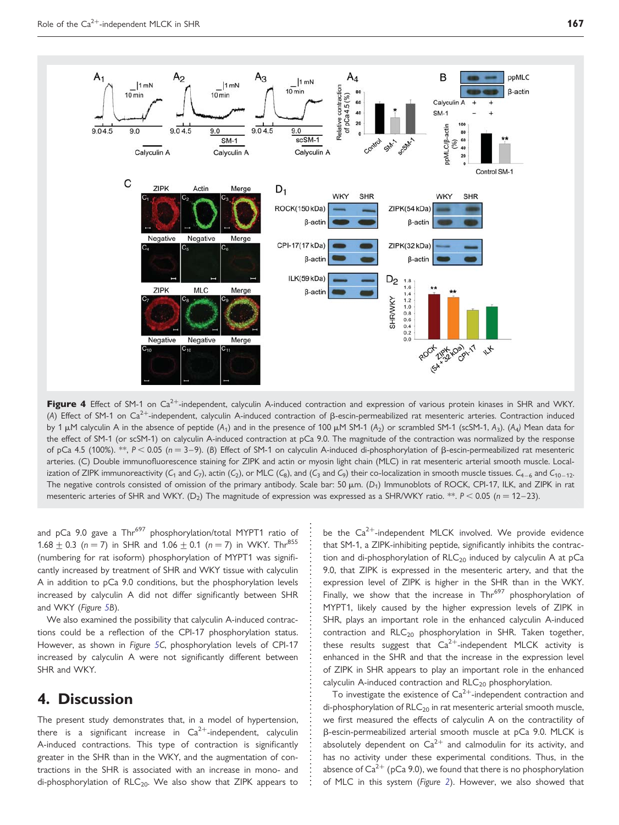<span id="page-5-0"></span>

Figure 4 Effect of SM-1 on Ca<sup>2+</sup>-independent, calyculin A-induced contraction and expression of various protein kinases in SHR and WKY. (A) Effect of SM-1 on Ca<sup>2+</sup>-independent, calyculin A-induced contraction of  $\beta$ -escin-permeabilized rat mesenteric arteries. Contraction induced by 1  $\mu$ M calyculin A in the absence of peptide (A<sub>1</sub>) and in the presence of 100  $\mu$ M SM-1 (A<sub>2</sub>) or scrambled SM-1 (scSM-1, A<sub>3</sub>). (A<sub>4</sub>) Mean data for the effect of SM-1 (or scSM-1) on calyculin A-induced contraction at pCa 9.0. The magnitude of the contraction was normalized by the response of pCa 4.5 (100%). \*\*,  $P < 0.05$  (n = 3-9). (B) Effect of SM-1 on calyculin A-induced di-phosphorylation of  $\beta$ -escin-permeabilized rat mesenteric arteries. (C) Double immunofluorescence staining for ZIPK and actin or myosin light chain (MLC) in rat mesenteric arterial smooth muscle. Localization of ZIPK immunoreactivity (C<sub>1</sub> and C<sub>7</sub>), actin (C<sub>2</sub>), or MLC (C<sub>8</sub>), and (C<sub>3</sub> and C<sub>9</sub>) their co-localization in smooth muscle tissues. C<sub>4–6</sub> and C<sub>10–12</sub>. The negative controls consisted of omission of the primary antibody. Scale bar: 50  $\mu$ m. (D<sub>1</sub>) Immunoblots of ROCK, CPI-17, ILK, and ZIPK in rat mesenteric arteries of SHR and WKY. (D<sub>2</sub>) The magnitude of expression was expressed as a SHR/WKY ratio. \*\*.  $P < 0.05$  (n = 12–23).

and pCa 9.0 gave a  $Thr^{697}$  phosphorylation/total MYPT1 ratio of 1.68  $\pm$  0.3 (n = 7) in SHR and 1.06  $\pm$  0.1 (n = 7) in WKY. Thr<sup>855</sup> (numbering for rat isoform) phosphorylation of MYPT1 was significantly increased by treatment of SHR and WKY tissue with calyculin A in addition to pCa 9.0 conditions, but the phosphorylation levels increased by calyculin A did not differ significantly between SHR and WKY (Figure [5](#page-6-0)B).

We also examined the possibility that calyculin A-induced contractions could be a reflection of the CPI-17 phosphorylation status. However, as shown in Figure [5C](#page-6-0), phosphorylation levels of CPI-17 increased by calyculin A were not significantly different between SHR and WKY.

# 4. Discussion

The present study demonstrates that, in a model of hypertension, there is a significant increase in  $Ca^{2+}$ -independent, calyculin A-induced contractions. This type of contraction is significantly greater in the SHR than in the WKY, and the augmentation of contractions in the SHR is associated with an increase in mono- and di-phosphorylation of  $RLC_{20}$ . We also show that ZIPK appears to be the  $Ca^{2+}$ -independent MLCK involved. We provide evidence that SM-1, a ZIPK-inhibiting peptide, significantly inhibits the contraction and di-phosphorylation of  $RLC_{20}$  induced by calyculin A at pCa 9.0, that ZIPK is expressed in the mesenteric artery, and that the expression level of ZIPK is higher in the SHR than in the WKY. Finally, we show that the increase in  $Thr^{697}$  phosphorylation of MYPT1, likely caused by the higher expression levels of ZIPK in SHR, plays an important role in the enhanced calyculin A-induced contraction and  $RLC_{20}$  phosphorylation in SHR. Taken together, these results suggest that  $Ca^{2+}$ -independent MLCK activity is enhanced in the SHR and that the increase in the expression level of ZIPK in SHR appears to play an important role in the enhanced calyculin A-induced contraction and  $RLC_{20}$  phosphorylation.

To investigate the existence of  $\text{Ca}^{2+}$ -independent contraction and di-phosphorylation of  $RLC_{20}$  in rat mesenteric arterial smooth muscle, we first measured the effects of calyculin A on the contractility of b-escin-permeabilized arterial smooth muscle at pCa 9.0. MLCK is absolutely dependent on  $Ca^{2+}$  and calmodulin for its activity, and has no activity under these experimental conditions. Thus, in the absence of  $Ca^{2+}$  (pCa 9.0), we found that there is no phosphorylation of MLC in this system (Figure [2](#page-3-0)). However, we also showed that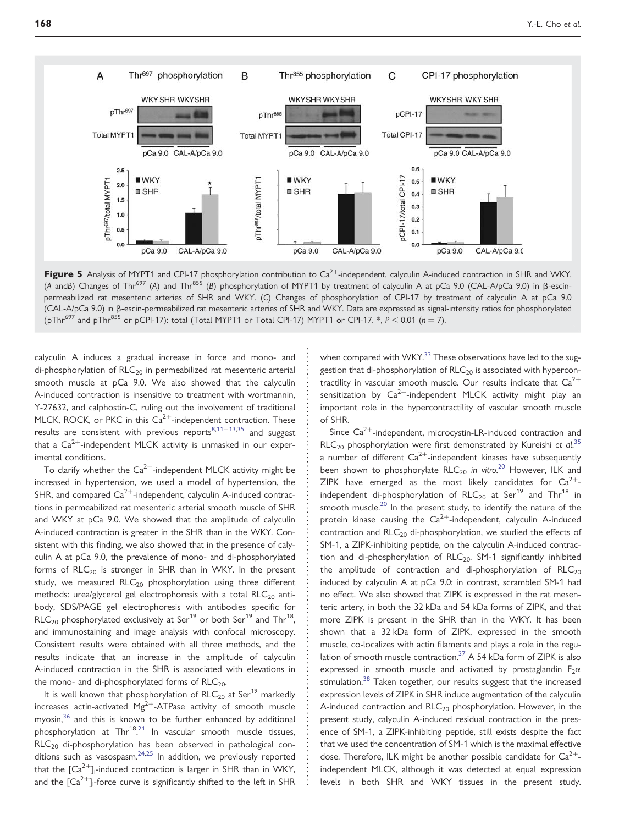<span id="page-6-0"></span>

Figure 5 Analysis of MYPT1 and CPI-17 phosphorylation contribution to  $Ca<sup>2+</sup>$ -independent, calyculin A-induced contraction in SHR and WKY. (A andB) Changes of Thr<sup>697</sup> (A) and Thr<sup>855</sup> (B) phosphorylation of MYPT1 by treatment of calyculin A at pCa 9.0 (CAL-A/pCa 9.0) in  $\beta$ -escinpermeabilized rat mesenteric arteries of SHR and WKY. (C) Changes of phosphorylation of CPI-17 by treatment of calyculin A at pCa 9.0 (CAL-A/pCa 9.0) in b-escin-permeabilized rat mesenteric arteries of SHR and WKY. Data are expressed as signal-intensity ratios for phosphorylated (pThr<sup>697</sup> and pThr<sup>855</sup> or pCPI-17): total (Total MYPT1 or Total CPI-17) MYPT1 or CPI-17. \*,  $P < 0.01$  ( $n = 7$ ).

calyculin A induces a gradual increase in force and mono- and di-phosphorylation of  $RLC_{20}$  in permeabilized rat mesenteric arterial smooth muscle at pCa 9.0. We also showed that the calyculin A-induced contraction is insensitive to treatment with wortmannin, Y-27632, and calphostin-C, ruling out the involvement of traditional MLCK, ROCK, or PKC in this  $Ca<sup>2+</sup>$ -independent contraction. These results are consistent with previous reports $8,11-13,35$  $8,11-13,35$  $8,11-13,35$  $8,11-13,35$  and suggest that a  $Ca^{2+}$ -independent MLCK activity is unmasked in our experimental conditions.

To clarify whether the  $Ca^{2+}$ -independent MLCK activity might be increased in hypertension, we used a model of hypertension, the SHR, and compared  $Ca^{2+}$ -independent, calyculin A-induced contractions in permeabilized rat mesenteric arterial smooth muscle of SHR and WKY at pCa 9.0. We showed that the amplitude of calyculin A-induced contraction is greater in the SHR than in the WKY. Consistent with this finding, we also showed that in the presence of calyculin A at pCa 9.0, the prevalence of mono- and di-phosphorylated forms of  $RLC_{20}$  is stronger in SHR than in WKY. In the present study, we measured  $RLC_{20}$  phosphorylation using three different methods: urea/glycerol gel electrophoresis with a total  $RLC_{20}$  antibody, SDS/PAGE gel electrophoresis with antibodies specific for  $RLC_{20}$  phosphorylated exclusively at Ser<sup>19</sup> or both Ser<sup>19</sup> and Thr<sup>18</sup>, and immunostaining and image analysis with confocal microscopy. Consistent results were obtained with all three methods, and the results indicate that an increase in the amplitude of calyculin A-induced contraction in the SHR is associated with elevations in the mono- and di-phosphorylated forms of  $RLC<sub>20</sub>$ .

It is well known that phosphorylation of  $RLC_{20}$  at Ser<sup>19</sup> markedly increases actin-activated  $Mg^{2+}$ -ATPase activity of smooth muscle myosin, $36$  and this is known to be further enhanced by additional phosphorylation at Thr<sup>18</sup>.<sup>[21](#page-7-0)</sup> In vascular smooth muscle tissues,  $RLC<sub>20</sub>$  di-phosphorylation has been observed in pathological conditions such as vasospasm.  $24,25$  $24,25$  $24,25$  In addition, we previously reported that the  $\lbrack Ca^{2+}\rbrack _i$ -induced contraction is larger in SHR than in WKY, and the [Ca $^{2+}$ ]<sub>i</sub>-force curve is significantly shifted to the left in SHR

when compared with WKY.<sup>[33](#page-8-0)</sup> These observations have led to the suggestion that di-phosphorylation of  $RLC_{20}$  is associated with hypercontractility in vascular smooth muscle. Our results indicate that  $Ca^{2+}$ sensitization by  $Ca^{2+}$ -independent MLCK activity might play an important role in the hypercontractility of vascular smooth muscle of SHR.

Since  $Ca^{2+}$ -independent, microcystin-LR-induced contraction and  $RLC_{20}$  phosphorylation were first demonstrated by Kureishi et al.<sup>[35](#page-8-0)</sup> a number of different  $Ca^{2+}$ -independent kinases have subsequently been shown to phosphorylate  $RLC_{20}$  $RLC_{20}$  $RLC_{20}$  in vitro.<sup>20</sup> However, ILK and ZIPK have emerged as the most likely candidates for  $Ca^{2+}$ independent di-phosphorylation of  $RLC_{20}$  at Ser<sup>19</sup> and Thr<sup>18</sup> in smooth muscle.<sup>[20](#page-7-0)</sup> In the present study, to identify the nature of the protein kinase causing the  $Ca^{2+}$ -independent, calyculin A-induced contraction and  $RLC<sub>20</sub>$  di-phosphorylation, we studied the effects of SM-1, a ZIPK-inhibiting peptide, on the calyculin A-induced contraction and di-phosphorylation of  $RLC_{20}$ . SM-1 significantly inhibited the amplitude of contraction and di-phosphorylation of  $RLC<sub>20</sub>$ induced by calyculin A at pCa 9.0; in contrast, scrambled SM-1 had no effect. We also showed that ZIPK is expressed in the rat mesenteric artery, in both the 32 kDa and 54 kDa forms of ZIPK, and that more ZIPK is present in the SHR than in the WKY. It has been shown that a 32 kDa form of ZIPK, expressed in the smooth muscle, co-localizes with actin filaments and plays a role in the regulation of smooth muscle contraction.<sup>37</sup> A 54 kDa form of ZIPK is also expressed in smooth muscle and activated by prostaglandin  $F_2\alpha$ stimulation.<sup>[38](#page-8-0)</sup> Taken together, our results suggest that the increased expression levels of ZIPK in SHR induce augmentation of the calyculin A-induced contraction and  $RLC_{20}$  phosphorylation. However, in the present study, calyculin A-induced residual contraction in the presence of SM-1, a ZIPK-inhibiting peptide, still exists despite the fact that we used the concentration of SM-1 which is the maximal effective dose. Therefore, ILK might be another possible candidate for  $Ca^{2+}$ independent MLCK, although it was detected at equal expression levels in both SHR and WKY tissues in the present study.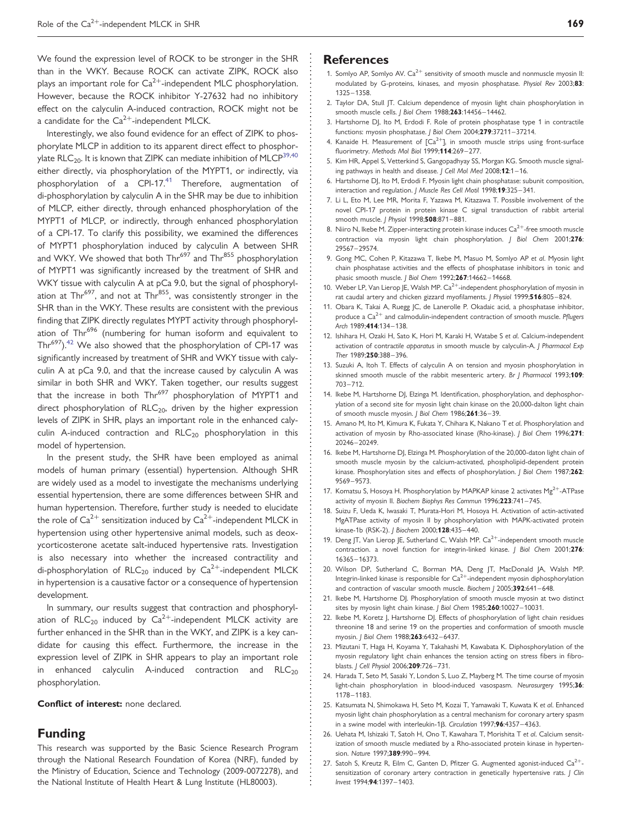<span id="page-7-0"></span>We found the expression level of ROCK to be stronger in the SHR than in the WKY. Because ROCK can activate ZIPK, ROCK also plays an important role for  $Ca^{2+}$ -independent MLC phosphorylation. However, because the ROCK inhibitor Y-27632 had no inhibitory effect on the calyculin A-induced contraction, ROCK might not be a candidate for the  $Ca^{2+}$ -independent MLCK.

Interestingly, we also found evidence for an effect of ZIPK to phosphorylate MLCP in addition to its apparent direct effect to phosphorylate RLC<sub>20</sub>. It is known that ZIPK can mediate inhibition of MLCP<sup>39,40</sup> either directly, via phosphorylation of the MYPT1, or indirectly, via phosphorylation of a CPI-17.<sup>41</sup> Therefore, augmentation of di-phosphorylation by calyculin A in the SHR may be due to inhibition of MLCP, either directly, through enhanced phosphorylation of the MYPT1 of MLCP, or indirectly, through enhanced phosphorylation of a CPI-17. To clarify this possibility, we examined the differences of MYPT1 phosphorylation induced by calyculin A between SHR and WKY. We showed that both Thr<sup>697</sup> and Thr<sup>855</sup> phosphorylation of MYPT1 was significantly increased by the treatment of SHR and WKY tissue with calyculin A at pCa 9.0, but the signal of phosphorylation at Thr<sup>697</sup>, and not at Thr<sup>855</sup>, was consistently stronger in the SHR than in the WKY. These results are consistent with the previous finding that ZIPK directly regulates MYPT activity through phosphorylation of Thr<sup>696</sup> (numbering for human isoform and equivalent to Thr<sup>697</sup>).<sup>42</sup> We also showed that the phosphorylation of CPI-17 was significantly increased by treatment of SHR and WKY tissue with calyculin A at pCa 9.0, and that the increase caused by calyculin A was similar in both SHR and WKY. Taken together, our results suggest that the increase in both Thr<sup>697</sup> phosphorylation of MYPT1 and direct phosphorylation of  $RLC_{20}$ , driven by the higher expression levels of ZIPK in SHR, plays an important role in the enhanced calyculin A-induced contraction and  $RLC_{20}$  phosphorylation in this model of hypertension.

In the present study, the SHR have been employed as animal models of human primary (essential) hypertension. Although SHR are widely used as a model to investigate the mechanisms underlying essential hypertension, there are some differences between SHR and human hypertension. Therefore, further study is needed to elucidate the role of  $Ca^{2+}$  sensitization induced by  $Ca^{2+}$ -independent MLCK in hypertension using other hypertensive animal models, such as deoxycorticosterone acetate salt-induced hypertensive rats. Investigation is also necessary into whether the increased contractility and di-phosphorylation of  $RLC_{20}$  induced by  $Ca^{2+}$ -independent MLCK in hypertension is a causative factor or a consequence of hypertension development.

In summary, our results suggest that contraction and phosphorylation of  $RLC_{20}$  induced by  $Ca^{2+}$ -independent MLCK activity are further enhanced in the SHR than in the WKY, and ZIPK is a key candidate for causing this effect. Furthermore, the increase in the expression level of ZIPK in SHR appears to play an important role in enhanced calyculin A-induced contraction and  $RLC_{20}$ phosphorylation.

Conflict of interest: none declared.

## Funding

This research was supported by the Basic Science Research Program through the National Research Foundation of Korea (NRF), funded by the Ministry of Education, Science and Technology (2009-0072278), and the National Institute of Health Heart & Lung Institute (HL80003).

#### **References**

- 1. Somlyo AP, Somlyo AV.  $Ca^{2+}$  sensitivity of smooth muscle and nonmuscle myosin II: modulated by G-proteins, kinases, and myosin phosphatase. Physiol Rev 2003;83: 1325– 1358.
- 2. Taylor DA, Stull JT. Calcium dependence of myosin light chain phosphorylation in smooth muscle cells. J Biol Chem 1988;263:14456-14462.
- 3. Hartshorne DJ, Ito M, Erdodi F. Role of protein phosphatase type 1 in contractile functions: myosin phosphatase. | Biol Chem 2004;279:37211-37214.
- 4. Kanaide H. Measurement of  $[Ca^{2+}]_i$  in smooth muscle strips using front-surface fluorimetry. Methods Mol Biol 1999;114:269-277.
- 5. Kim HR, Appel S, Vetterkind S, Gangopadhyay SS, Morgan KG. Smooth muscle signaling pathways in health and disease. J Cell Mol Med 2008;12:1-16.
- 6. Hartshorne DJ, Ito M, Erdodi F. Myosin light chain phosphatase: subunit composition, interaction and regulation. J Muscle Res Cell Motil 1998;19:325-341.
- 7. Li L, Eto M, Lee MR, Morita F, Yazawa M, Kitazawa T. Possible involvement of the novel CPI-17 protein in protein kinase C signal transduction of rabbit arterial smooth muscle. J Physiol 1998;508:871-881.
- 8. Niiro N, Ikebe M. Zipper-interacting protein kinase induces  $\text{Ca}^{2+}$ -free smooth muscle contraction via myosin light chain phosphorylation. J Biol Chem 2001;276: 29567–29574.
- 9. Gong MC, Cohen P, Kitazawa T, Ikebe M, Masuo M, Somlyo AP et al. Myosin light chain phosphatase activities and the effects of phosphatase inhibitors in tonic and phasic smooth muscle. | Biol Chem 1992;267:14662-14668.
- 10. Weber LP, Van Lierop JE, Walsh MP.  $\text{Ca}^{2+}$ -independent phosphorylation of myosin in rat caudal artery and chicken gizzard myofilaments. J Physiol 1999;516:805-824.
- 11. Obara K, Takai A, Ruegg JC, de Lanerolle P. Okadaic acid, a phosphatase inhibitor, produce a  $Ca^{2+}$  and calmodulin-independent contraction of smooth muscle. Pflugers Arch 1989;414:134-138.
- 12. Ishihara H, Ozaki H, Sato K, Hori M, Karaki H, Watabe S et al. Calcium-independent activation of contractile apparatus in smooth muscle by calyculin-A. J Pharmacol Exp Ther 1989;250:388-396.
- 13. Suzuki A, Itoh T. Effects of calyculin A on tension and myosin phosphorylation in skinned smooth muscle of the rabbit mesenteric artery. Br J Pharmacol 1993:109: 703 –712.
- 14. Ikebe M, Hartshorne DJ, Elzinga M. Identification, phosphorylation, and dephosphorylation of a second site for myosin light chain kinase on the 20,000-dalton light chain of smooth muscle myosin. J Biol Chem 1986;261:36-39.
- 15. Amano M, Ito M, Kimura K, Fukata Y, Chihara K, Nakano T et al. Phosphorylation and activation of myosin by Rho-associated kinase (Rho-kinase). J Biol Chem 1996;271: 20246–20249.
- 16. Ikebe M, Hartshorne DJ, Elzinga M. Phosphorylation of the 20,000-daton light chain of smooth muscle myosin by the calcium-activated, phospholipid-dependent protein kinase. Phosphorylation sites and effects of phosphorylation. J Biol Chem 1987;262: 9569– 9573.
- 17. Komatsu S, Hosoya H. Phosphorylation by MAPKAP kinase 2 activates Mg<sup>2+</sup>-ATPase activity of myosin II. Biochem Biophys Res Commun 1996;223:741-745.
- 18. Suizu F, Ueda K, Iwasaki T, Murata-Hori M, Hosoya H. Activation of actin-activated MgATPase activity of myosin II by phosphorylation with MAPK-activated protein kinase-1b (RSK-2). J Biochem 2000;128:435-440.
- 19. Deng JT, Van Lierop JE, Sutherland C, Walsh MP.  $Ca^{2+}$ -independent smooth muscle contraction. a novel function for integrin-linked kinase. J Biol Chem 2001;276: 16365–16373.
- 20. Wilson DP, Sutherland C, Borman MA, Deng JT, MacDonald JA, Walsh MP. Integrin-linked kinase is responsible for  $Ca^{2+}$ -independent myosin diphosphorylation and contraction of vascular smooth muscle. Biochem J 2005;392:641-648.
- 21. Ikebe M, Hartshorne DJ. Phosphorylation of smooth muscle myosin at two distinct sites by myosin light chain kinase. J Biol Chem 1985;260:10027-10031.
- 22. Ikebe M, Koretz J, Hartshorne DJ. Effects of phosphorylation of light chain residues threonine 18 and serine 19 on the properties and conformation of smooth muscle myosin. J Biol Chem 1988;263:6432-6437.
- 23. Mizutani T, Haga H, Koyama Y, Takahashi M, Kawabata K. Diphosphorylation of the myosin regulatory light chain enhances the tension acting on stress fibers in fibroblasts. | Cell Physiol 2006;209:726-731.
- 24. Harada T, Seto M, Sasaki Y, London S, Luo Z, Mayberg M. The time course of myosin light-chain phosphorylation in blood-induced vasospasm. Neurosurgery 1995;36: 1178– 1183.
- 25. Katsumata N, Shimokawa H, Seto M, Kozai T, Yamawaki T, Kuwata K et al. Enhanced myosin light chain phosphorylation as a central mechanism for coronary artery spasm in a swine model with interleukin-1 $\beta$ . Circulation 1997;96:4357-4363.
- 26. Uehata M, Ishizaki T, Satoh H, Ono T, Kawahara T, Morishita T et al. Calcium sensitization of smooth muscle mediated by a Rho-associated protein kinase in hypertension. Nature 1997:389:990-994.
- 27. Satoh S, Kreutz R, Eilm C, Ganten D, Pfitzer G. Augmented agonist-induced  $Ca^{2+}$ sensitization of coronary artery contraction in genetically hypertensive rats. J Clin Invest 1994;94:1397 –1403.